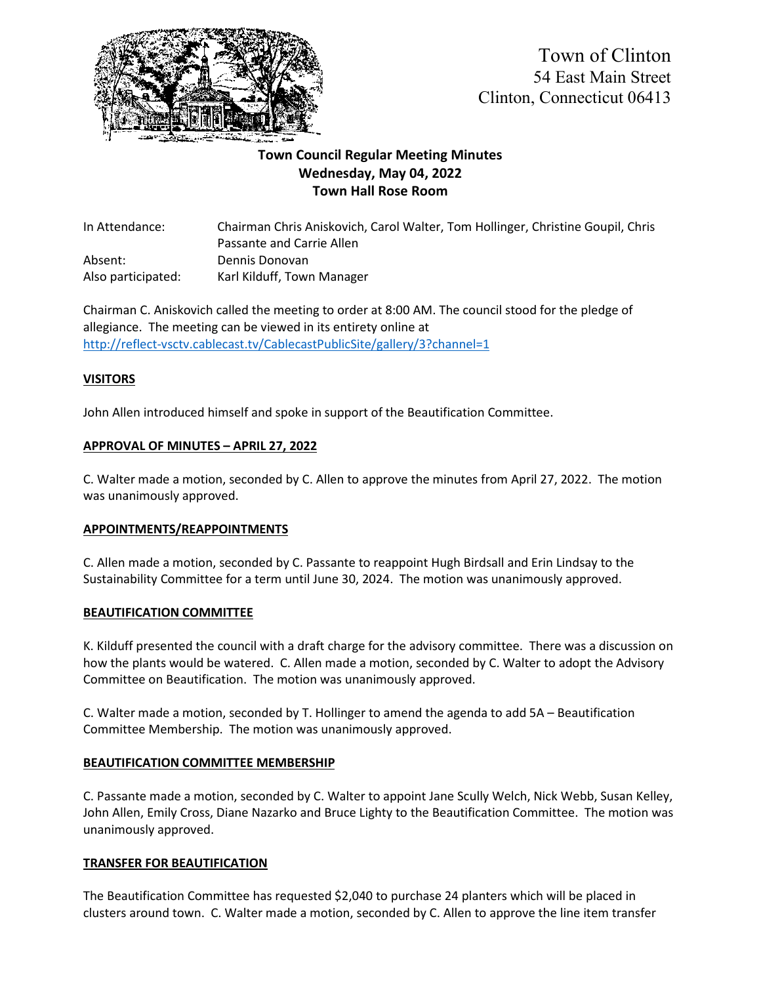

# **Town Council Regular Meeting Minutes Wednesday, May 04, 2022 Town Hall Rose Room**

In Attendance: Chairman Chris Aniskovich, Carol Walter, Tom Hollinger, Christine Goupil, Chris Passante and Carrie Allen Absent: Dennis Donovan Also participated: Karl Kilduff, Town Manager

Chairman C. Aniskovich called the meeting to order at 8:00 AM. The council stood for the pledge of allegiance. The meeting can be viewed in its entirety online at <http://reflect-vsctv.cablecast.tv/CablecastPublicSite/gallery/3?channel=1>

# **VISITORS**

John Allen introduced himself and spoke in support of the Beautification Committee.

# **APPROVAL OF MINUTES – APRIL 27, 2022**

C. Walter made a motion, seconded by C. Allen to approve the minutes from April 27, 2022. The motion was unanimously approved.

#### **APPOINTMENTS/REAPPOINTMENTS**

C. Allen made a motion, seconded by C. Passante to reappoint Hugh Birdsall and Erin Lindsay to the Sustainability Committee for a term until June 30, 2024. The motion was unanimously approved.

#### **BEAUTIFICATION COMMITTEE**

K. Kilduff presented the council with a draft charge for the advisory committee. There was a discussion on how the plants would be watered. C. Allen made a motion, seconded by C. Walter to adopt the Advisory Committee on Beautification. The motion was unanimously approved.

C. Walter made a motion, seconded by T. Hollinger to amend the agenda to add 5A – Beautification Committee Membership. The motion was unanimously approved.

#### **BEAUTIFICATION COMMITTEE MEMBERSHIP**

C. Passante made a motion, seconded by C. Walter to appoint Jane Scully Welch, Nick Webb, Susan Kelley, John Allen, Emily Cross, Diane Nazarko and Bruce Lighty to the Beautification Committee. The motion was unanimously approved.

#### **TRANSFER FOR BEAUTIFICATION**

The Beautification Committee has requested \$2,040 to purchase 24 planters which will be placed in clusters around town. C. Walter made a motion, seconded by C. Allen to approve the line item transfer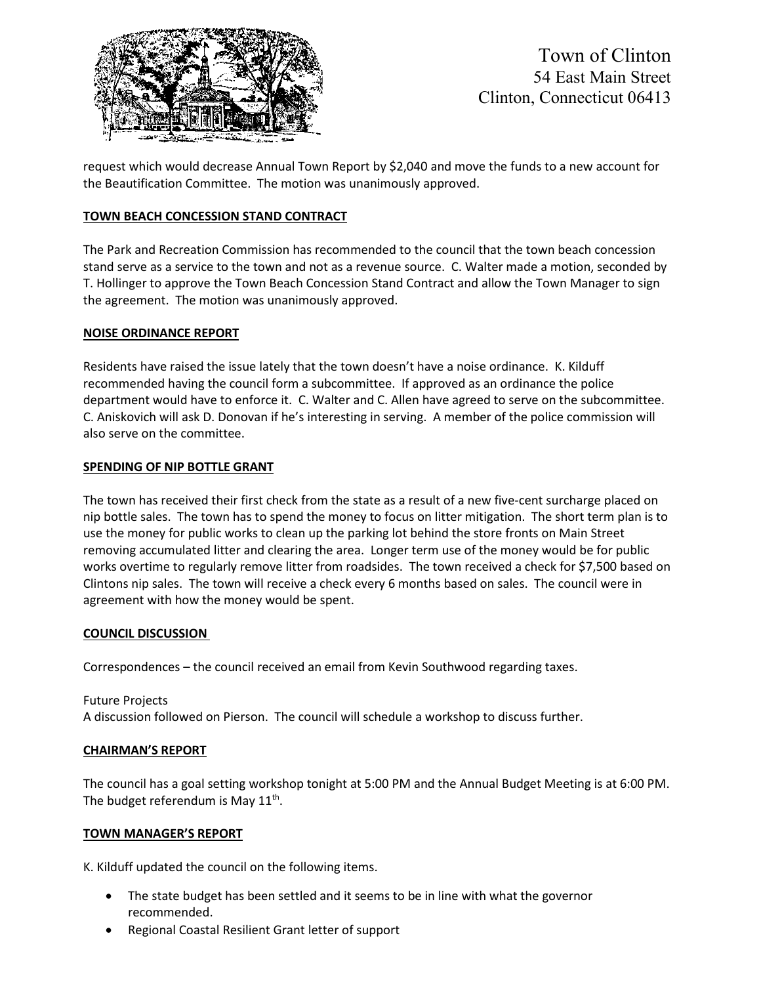

request which would decrease Annual Town Report by \$2,040 and move the funds to a new account for the Beautification Committee. The motion was unanimously approved.

# **TOWN BEACH CONCESSION STAND CONTRACT**

The Park and Recreation Commission has recommended to the council that the town beach concession stand serve as a service to the town and not as a revenue source. C. Walter made a motion, seconded by T. Hollinger to approve the Town Beach Concession Stand Contract and allow the Town Manager to sign the agreement. The motion was unanimously approved.

#### **NOISE ORDINANCE REPORT**

Residents have raised the issue lately that the town doesn't have a noise ordinance. K. Kilduff recommended having the council form a subcommittee. If approved as an ordinance the police department would have to enforce it. C. Walter and C. Allen have agreed to serve on the subcommittee. C. Aniskovich will ask D. Donovan if he's interesting in serving. A member of the police commission will also serve on the committee.

#### **SPENDING OF NIP BOTTLE GRANT**

The town has received their first check from the state as a result of a new five-cent surcharge placed on nip bottle sales. The town has to spend the money to focus on litter mitigation. The short term plan is to use the money for public works to clean up the parking lot behind the store fronts on Main Street removing accumulated litter and clearing the area. Longer term use of the money would be for public works overtime to regularly remove litter from roadsides. The town received a check for \$7,500 based on Clintons nip sales. The town will receive a check every 6 months based on sales. The council were in agreement with how the money would be spent.

#### **COUNCIL DISCUSSION**

Correspondences – the council received an email from Kevin Southwood regarding taxes.

Future Projects A discussion followed on Pierson. The council will schedule a workshop to discuss further.

#### **CHAIRMAN'S REPORT**

The council has a goal setting workshop tonight at 5:00 PM and the Annual Budget Meeting is at 6:00 PM. The budget referendum is May  $11^{th}$ .

#### **TOWN MANAGER'S REPORT**

K. Kilduff updated the council on the following items.

- The state budget has been settled and it seems to be in line with what the governor recommended.
- Regional Coastal Resilient Grant letter of support